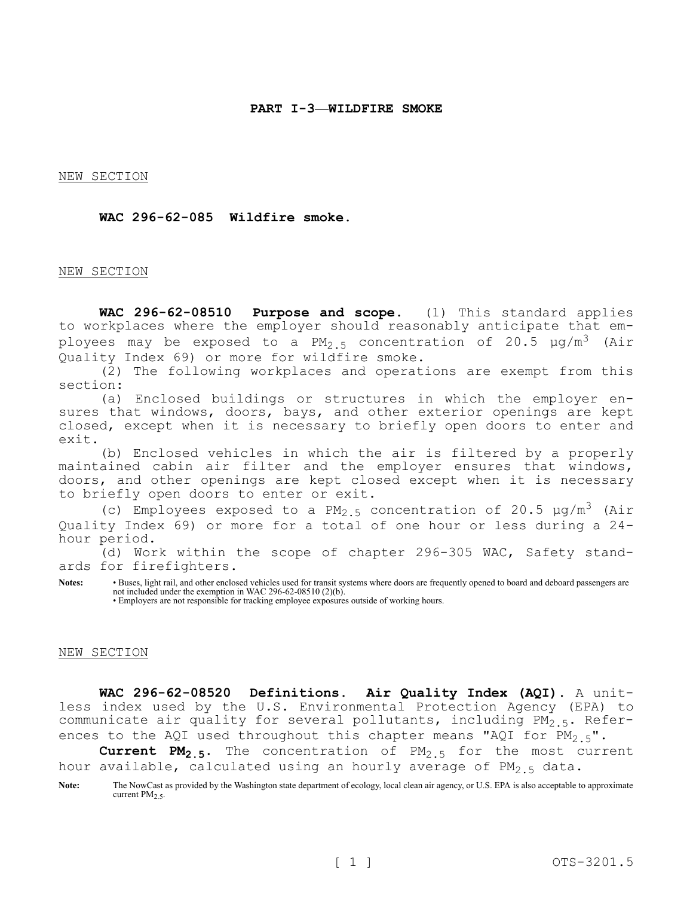NEW SECTION

### **WAC 296-62-085 Wildfire smoke.**

#### NEW SECTION

**WAC 296-62-08510 Purpose and scope.** (1) This standard applies to workplaces where the employer should reasonably anticipate that employees may be exposed to a  $PM_{2.5}$  concentration of 20.5  $\mu$ g/m<sup>3</sup> (Air Quality Index 69) or more for wildfire smoke.

(2) The following workplaces and operations are exempt from this section:

(a) Enclosed buildings or structures in which the employer ensures that windows, doors, bays, and other exterior openings are kept closed, except when it is necessary to briefly open doors to enter and exit.

(b) Enclosed vehicles in which the air is filtered by a properly maintained cabin air filter and the employer ensures that windows, doors, and other openings are kept closed except when it is necessary to briefly open doors to enter or exit.

(c) Employees exposed to a  $PM_{2.5}$  concentration of 20.5  $\mu q/m^3$  (Air Quality Index 69) or more for a total of one hour or less during a 24 hour period.

(d) Work within the scope of chapter 296-305 WAC, Safety standards for firefighters.

**Notes:** • Buses, light rail, and other enclosed vehicles used for transit systems where doors are frequently opened to board and deboard passengers are not included under the exemption in WAC 296-62-08510 (2)(b).

• Employers are not responsible for tracking employee exposures outside of working hours.

### NEW SECTION

**WAC 296-62-08520 Definitions. Air Quality Index (AQI).** A unitless index used by the U.S. Environmental Protection Agency (EPA) to communicate air quality for several pollutants, including  $PM_{2.5}$ . References to the AQI used throughout this chapter means "AQI for  $PM_{2.5}$ ".

**Current PM2.5.** The concentration of PM2.5 for the most current hour available, calculated using an hourly average of PM<sub>2</sub>  $_5$  data.

Note: The NowCast as provided by the Washington state department of ecology, local clean air agency, or U.S. EPA is also acceptable to approximate current PM<sub>2.5</sub>.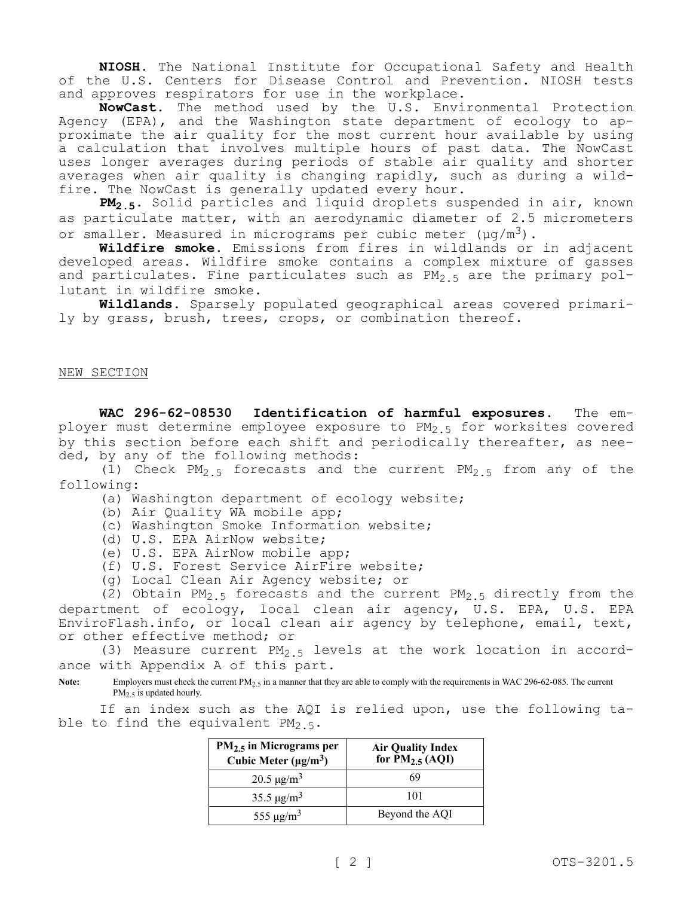**NIOSH.** The National Institute for Occupational Safety and Health of the U.S. Centers for Disease Control and Prevention. NIOSH tests and approves respirators for use in the workplace.

**NowCast.** The method used by the U.S. Environmental Protection Agency (EPA), and the Washington state department of ecology to approximate the air quality for the most current hour available by using a calculation that involves multiple hours of past data. The NowCast uses longer averages during periods of stable air quality and shorter averages when air quality is changing rapidly, such as during a wildfire. The NowCast is generally updated every hour.

**PM2.5.** Solid particles and liquid droplets suspended in air, known as particulate matter, with an aerodynamic diameter of 2.5 micrometers or smaller. Measured in micrograms per cubic meter  $(\mu g/m^3)$ .

**Wildfire smoke.** Emissions from fires in wildlands or in adjacent developed areas. Wildfire smoke contains a complex mixture of gasses and particulates. Fine particulates such as  $PM_{2.5}$  are the primary pollutant in wildfire smoke.

**Wildlands.** Sparsely populated geographical areas covered primarily by grass, brush, trees, crops, or combination thereof.

NEW SECTION

**WAC 296-62-08530 Identification of harmful exposures.** The employer must determine employee exposure to  $PM_{2.5}$  for worksites covered by this section before each shift and periodically thereafter, as needed, by any of the following methods:

(1) Check  $PM_{2.5}$  forecasts and the current  $PM_{2.5}$  from any of the following:

(a) Washington department of ecology website;

- (b) Air Quality WA mobile app;
- (c) Washington Smoke Information website;
- (d) U.S. EPA AirNow website;
- (e) U.S. EPA AirNow mobile app;
- (f) U.S. Forest Service AirFire website;
- (g) Local Clean Air Agency website; or

(2) Obtain PM<sub>2.5</sub> forecasts and the current PM<sub>2.5</sub> directly from the department of ecology, local clean air agency, U.S. EPA, U.S. EPA EnviroFlash.info, or local clean air agency by telephone, email, text, or other effective method; or

(3) Measure current  $PM<sub>2.5</sub>$  levels at the work location in accordance with Appendix A of this part.

Note: Employers must check the current PM<sub>2.5</sub> in a manner that they are able to comply with the requirements in WAC 296-62-085. The current PM<sub>2.5</sub> is updated hourly.

If an index such as the AQI is relied upon, use the following table to find the equivalent  $PM_2$  5.

| $PM2.5$ in Micrograms per<br>Cubic Meter $(\mu g/m^3)$ | <b>Air Quality Index</b><br>for $\tilde{P}M_{2.5}$ (AQI) |
|--------------------------------------------------------|----------------------------------------------------------|
| 20.5 $\mu$ g/m <sup>3</sup>                            | 69                                                       |
| 35.5 $\mu$ g/m <sup>3</sup>                            | 101                                                      |
| 555 $\mu$ g/m <sup>3</sup>                             | Beyond the AQI                                           |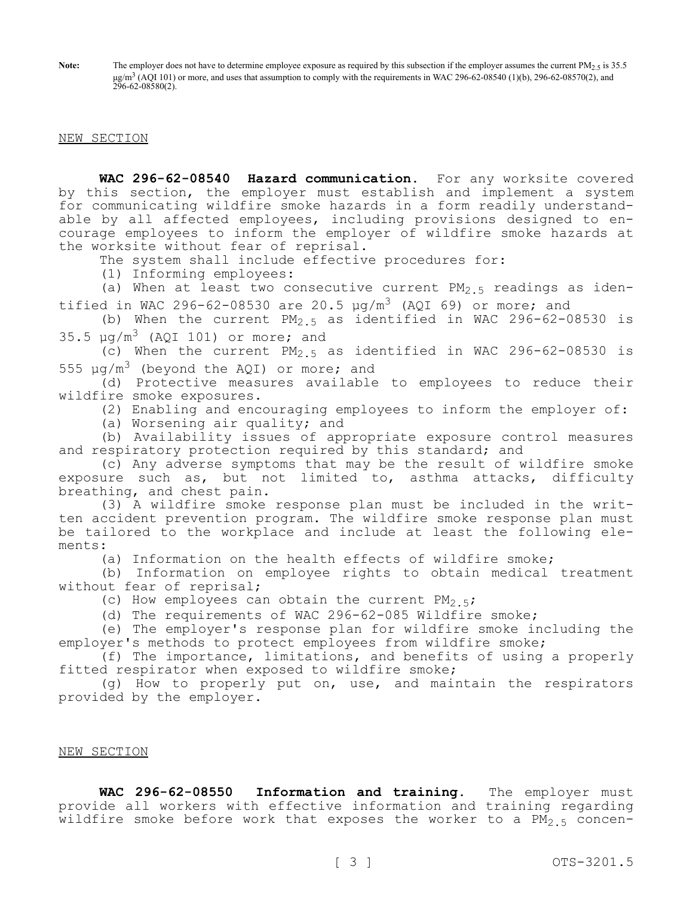Note: The employer does not have to determine employee exposure as required by this subsection if the employer assumes the current PM<sub>2.5</sub> is 35.5  $\mu$ g/m<sup>3</sup> (AQI 101) or more, and uses that assumption to comply with the requirements in WAC 296-62-08540 (1)(b), 296-62-08570(2), and 296-62-08580(2).

### NEW SECTION

**WAC 296-62-08540 Hazard communication.** For any worksite covered by this section, the employer must establish and implement a system for communicating wildfire smoke hazards in a form readily understandable by all affected employees, including provisions designed to encourage employees to inform the employer of wildfire smoke hazards at the worksite without fear of reprisal.

The system shall include effective procedures for:

(1) Informing employees:

(a) When at least two consecutive current  $PM_{2.5}$  readings as identified in WAC 296-62-08530 are 20.5  $\mu q/m^3$  (AQI 69) or more; and

(b) When the current  $PM_2$  5 as identified in WAC 296-62-08530 is  $35.5 \text{ µq/m}^3$  (AQI 101) or more; and

(c) When the current  $PM_{2.5}$  as identified in WAC 296-62-08530 is 555  $\mu q/m^3$  (beyond the AQI) or more; and

(d) Protective measures available to employees to reduce their wildfire smoke exposures.

(2) Enabling and encouraging employees to inform the employer of:

(a) Worsening air quality; and

(b) Availability issues of appropriate exposure control measures and respiratory protection required by this standard; and

(c) Any adverse symptoms that may be the result of wildfire smoke exposure such as, but not limited to, asthma attacks, difficulty breathing, and chest pain.

(3) A wildfire smoke response plan must be included in the written accident prevention program. The wildfire smoke response plan must be tailored to the workplace and include at least the following elements:

(a) Information on the health effects of wildfire smoke;

(b) Information on employee rights to obtain medical treatment without fear of reprisal;

(c) How employees can obtain the current  $PM_{2.5}$ ;

(d) The requirements of WAC 296-62-085 Wildfire smoke;

(e) The employer's response plan for wildfire smoke including the employer's methods to protect employees from wildfire smoke;

(f) The importance, limitations, and benefits of using a properly fitted respirator when exposed to wildfire smoke;

(g) How to properly put on, use, and maintain the respirators provided by the employer.

# NEW SECTION

**WAC 296-62-08550 Information and training.** The employer must provide all workers with effective information and training regarding wildfire smoke before work that exposes the worker to a  $PM_{2.5}$  concen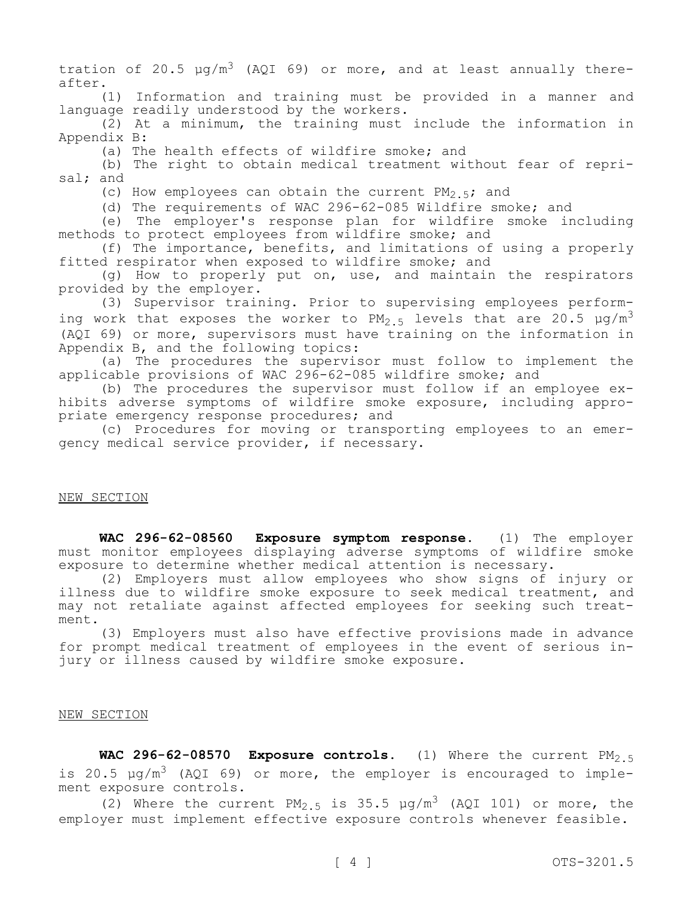tration of 20.5  $\mu q/m^3$  (AQI 69) or more, and at least annually thereafter.

(1) Information and training must be provided in a manner and language readily understood by the workers.

(2) At a minimum, the training must include the information in Appendix B:

(a) The health effects of wildfire smoke; and

(b) The right to obtain medical treatment without fear of reprisal; and

(c) How employees can obtain the current  $PM_{2.5}$ ; and

(d) The requirements of WAC 296-62-085 Wildfire smoke; and

(e) The employer's response plan for wildfire smoke including methods to protect employees from wildfire smoke; and

(f) The importance, benefits, and limitations of using a properly fitted respirator when exposed to wildfire smoke; and

(g) How to properly put on, use, and maintain the respirators provided by the employer.

(3) Supervisor training. Prior to supervising employees performing work that exposes the worker to PM<sub>2.5</sub> levels that are 20.5  $\mu q/m^3$ (AQI 69) or more, supervisors must have training on the information in Appendix B, and the following topics:

(a) The procedures the supervisor must follow to implement the applicable provisions of WAC 296-62-085 wildfire smoke; and

(b) The procedures the supervisor must follow if an employee exhibits adverse symptoms of wildfire smoke exposure, including appropriate emergency response procedures; and

(c) Procedures for moving or transporting employees to an emergency medical service provider, if necessary.

## NEW SECTION

**WAC 296-62-08560 Exposure symptom response.** (1) The employer must monitor employees displaying adverse symptoms of wildfire smoke exposure to determine whether medical attention is necessary.

(2) Employers must allow employees who show signs of injury or illness due to wildfire smoke exposure to seek medical treatment, and may not retaliate against affected employees for seeking such treatment.

(3) Employers must also have effective provisions made in advance for prompt medical treatment of employees in the event of serious injury or illness caused by wildfire smoke exposure.

#### NEW SECTION

WAC 296-62-08570 Exposure controls. (1) Where the current PM<sub>2.5</sub> is 20.5  $\mu q/m^3$  (AQI 69) or more, the employer is encouraged to implement exposure controls.

(2) Where the current  $PM_{2.5}$  is 35.5  $\mu q/m^3$  (AQI 101) or more, the employer must implement effective exposure controls whenever feasible.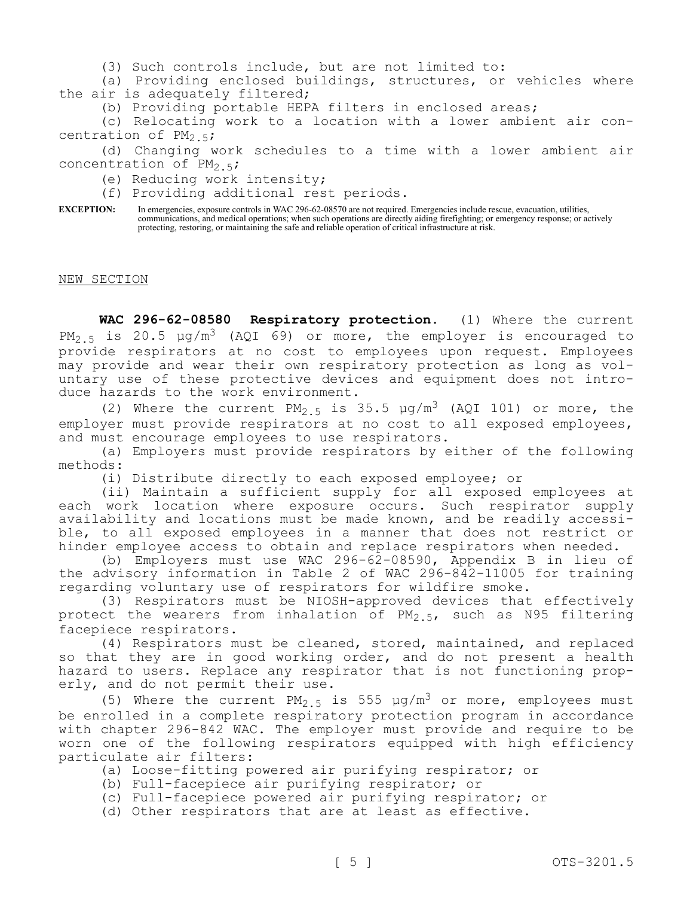(3) Such controls include, but are not limited to:

(a) Providing enclosed buildings, structures, or vehicles where the air is adequately filtered;

(b) Providing portable HEPA filters in enclosed areas;

(c) Relocating work to a location with a lower ambient air concentration of  $PM_{2.5}$ ;

(d) Changing work schedules to a time with a lower ambient air concentration of  $PM_{2.5}$ ;

(e) Reducing work intensity;

(f) Providing additional rest periods.

**EXCEPTION:** In emergencies, exposure controls in WAC 296-62-08570 are not required. Emergencies include rescue, evacuation, utilities, communications, and medical operations; when such operations are directly aiding firefighting; or emergency response; or actively protecting, restoring, or maintaining the safe and reliable operation of critical infrastructure at risk.

NEW SECTION

**WAC 296-62-08580 Respiratory protection.** (1) Where the current PM<sub>2.5</sub> is 20.5  $\mu q/m^3$  (AQI 69) or more, the employer is encouraged to provide respirators at no cost to employees upon request. Employees may provide and wear their own respiratory protection as long as voluntary use of these protective devices and equipment does not introduce hazards to the work environment.

(2) Where the current  $PM_{2.5}$  is 35.5  $\mu$ g/m<sup>3</sup> (AQI 101) or more, the employer must provide respirators at no cost to all exposed employees, and must encourage employees to use respirators.

(a) Employers must provide respirators by either of the following methods:

(i) Distribute directly to each exposed employee; or

(ii) Maintain a sufficient supply for all exposed employees at each work location where exposure occurs. Such respirator supply availability and locations must be made known, and be readily accessible, to all exposed employees in a manner that does not restrict or hinder employee access to obtain and replace respirators when needed.

(b) Employers must use WAC 296-62-08590, Appendix B in lieu of the advisory information in Table 2 of WAC 296-842-11005 for training regarding voluntary use of respirators for wildfire smoke.

(3) Respirators must be NIOSH-approved devices that effectively protect the wearers from inhalation of  $PM_{2.5}$ , such as N95 filtering facepiece respirators.

(4) Respirators must be cleaned, stored, maintained, and replaced so that they are in good working order, and do not present a health hazard to users. Replace any respirator that is not functioning properly, and do not permit their use.

(5) Where the current PM<sub>2</sub>  $\frac{1}{5}$  is 555  $\mu q/m^3$  or more, employees must be enrolled in a complete respiratory protection program in accordance with chapter 296-842 WAC. The employer must provide and require to be worn one of the following respirators equipped with high efficiency particulate air filters:

(a) Loose-fitting powered air purifying respirator; or

- (b) Full-facepiece air purifying respirator; or
- (c) Full-facepiece powered air purifying respirator; or

(d) Other respirators that are at least as effective.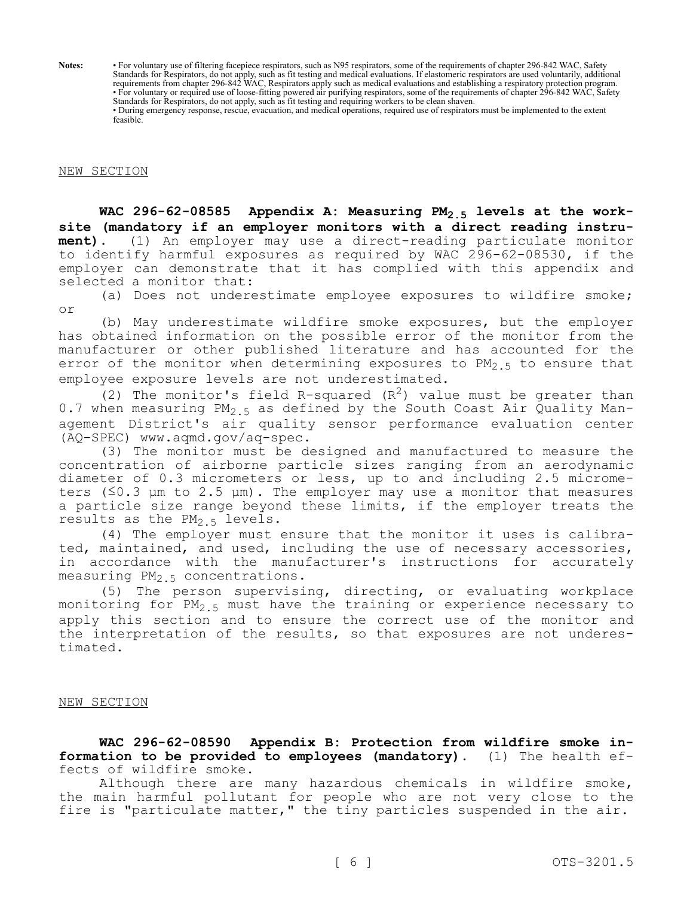**Notes:** • For voluntary use of filtering facepiece respirators, such as N95 respirators, some of the requirements of chapter 296-842 WAC, Safety Standards for Respirators, do not apply, such as fit testing and medical evaluations. If elastomeric respirators are used voluntarily, additional requirements from chapter 296-842 WAC, Respirators apply such as medical evaluations and establishing a respiratory protection program. • For voluntary or required use of loose-fitting powered air purifying respirators, some of the requirements of chapter 296-842 WAC, Safety Standards for Respirators, do not apply, such as fit testing and requiring workers to be clean shaven. • During emergency response, rescue, evacuation, and medical operations, required use of respirators must be implemented to the extent feasible.

## NEW SECTION

**WAC 296-62-08585 Appendix A: Measuring PM2.5 levels at the worksite (mandatory if an employer monitors with a direct reading instrument).** (1) An employer may use a direct-reading particulate monitor to identify harmful exposures as required by WAC 296-62-08530, if the employer can demonstrate that it has complied with this appendix and selected a monitor that:

(a) Does not underestimate employee exposures to wildfire smoke; or

(b) May underestimate wildfire smoke exposures, but the employer has obtained information on the possible error of the monitor from the manufacturer or other published literature and has accounted for the error of the monitor when determining exposures to PM<sub>2.5</sub> to ensure that employee exposure levels are not underestimated.

(2) The monitor's field R-squared  $(R^2)$  value must be greater than 0.7 when measuring  $PM_{2.5}$  as defined by the South Coast Air Quality Management District's air quality sensor performance evaluation center (AQ-SPEC) www.aqmd.gov/aq-spec.

(3) The monitor must be designed and manufactured to measure the concentration of airborne particle sizes ranging from an aerodynamic diameter of 0.3 micrometers or less, up to and including 2.5 micrometers  $(\leq 0.3$  µm to 2.5 µm). The employer may use a monitor that measures a particle size range beyond these limits, if the employer treats the results as the  $PM_{2,5}$  levels.

(4) The employer must ensure that the monitor it uses is calibrated, maintained, and used, including the use of necessary accessories, in accordance with the manufacturer's instructions for accurately measuring  $PM<sub>2.5</sub>$  concentrations.

(5) The person supervising, directing, or evaluating workplace monitoring for  $PM_{2.5}$  must have the training or experience necessary to apply this section and to ensure the correct use of the monitor and the interpretation of the results, so that exposures are not underestimated.

#### NEW SECTION

**WAC 296-62-08590 Appendix B: Protection from wildfire smoke information to be provided to employees (mandatory).** (1) The health effects of wildfire smoke.

Although there are many hazardous chemicals in wildfire smoke, the main harmful pollutant for people who are not very close to the fire is "particulate matter," the tiny particles suspended in the air.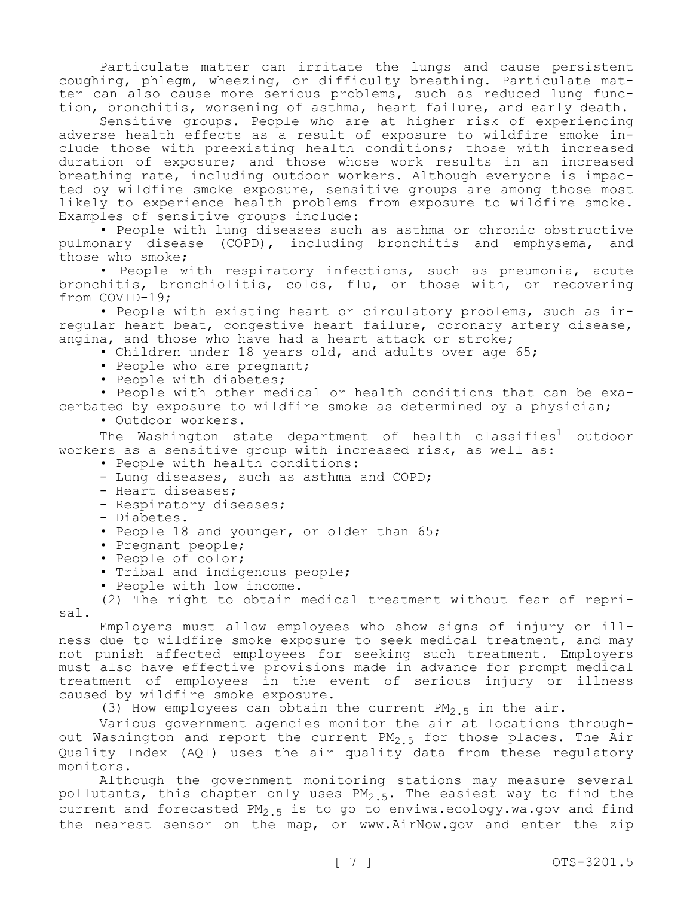Particulate matter can irritate the lungs and cause persistent coughing, phlegm, wheezing, or difficulty breathing. Particulate matter can also cause more serious problems, such as reduced lung function, bronchitis, worsening of asthma, heart failure, and early death.

Sensitive groups. People who are at higher risk of experiencing adverse health effects as a result of exposure to wildfire smoke include those with preexisting health conditions; those with increased duration of exposure; and those whose work results in an increased breathing rate, including outdoor workers. Although everyone is impacted by wildfire smoke exposure, sensitive groups are among those most likely to experience health problems from exposure to wildfire smoke. Examples of sensitive groups include:

• People with lung diseases such as asthma or chronic obstructive pulmonary disease (COPD), including bronchitis and emphysema, and those who smoke;

• People with respiratory infections, such as pneumonia, acute bronchitis, bronchiolitis, colds, flu, or those with, or recovering from COVID-19;

• People with existing heart or circulatory problems, such as irregular heart beat, congestive heart failure, coronary artery disease, angina, and those who have had a heart attack or stroke;

• Children under 18 years old, and adults over age 65;

- People who are pregnant;
- People with diabetes;

• People with other medical or health conditions that can be exacerbated by exposure to wildfire smoke as determined by a physician;

• Outdoor workers.

The Washington state department of health classifies<sup>1</sup> outdoor workers as a sensitive group with increased risk, as well as:

- People with health conditions:
- Lung diseases, such as asthma and COPD;
- Heart diseases;
- Respiratory diseases;
- Diabetes.
- People 18 and younger, or older than 65;
- Pregnant people;
- People of color;
- Tribal and indigenous people;
- People with low income.

(2) The right to obtain medical treatment without fear of reprisal.

Employers must allow employees who show signs of injury or illness due to wildfire smoke exposure to seek medical treatment, and may not punish affected employees for seeking such treatment. Employers must also have effective provisions made in advance for prompt medical treatment of employees in the event of serious injury or illness caused by wildfire smoke exposure.

(3) How employees can obtain the current  $PM_{2.5}$  in the air.

Various government agencies monitor the air at locations throughout Washington and report the current  $PM_{2.5}$  for those places. The Air Quality Index (AQI) uses the air quality data from these regulatory monitors.

Although the government monitoring stations may measure several pollutants, this chapter only uses  $PM_{2.5}$ . The easiest way to find the current and forecasted PM<sub>2</sub>  $\frac{1}{5}$  is to go to enviwa.ecology.wa.gov and find the nearest sensor on the map, or www.AirNow.gov and enter the zip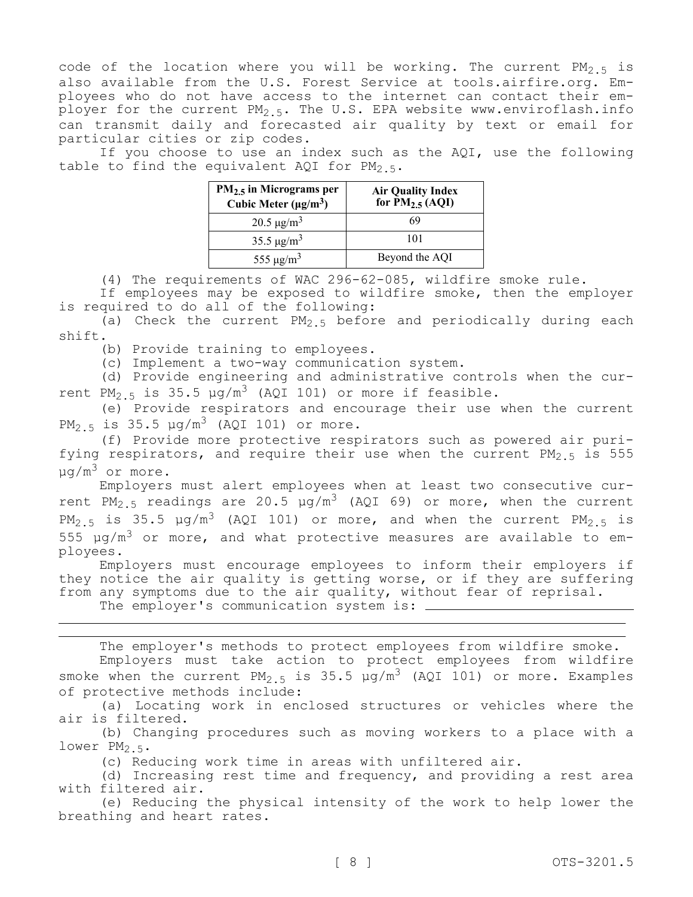code of the location where you will be working. The current  $PM_{2.5}$  is also available from the U.S. Forest Service at tools.airfire.org. Employees who do not have access to the internet can contact their employer for the current  $PM_{2.5}$ . The U.S. EPA website www.enviroflash.info can transmit daily and forecasted air quality by text or email for particular cities or zip codes.

If you choose to use an index such as the AQI, use the following table to find the equivalent AQI for  $PM_{2.5}$ .

| $PM2.5$ in Micrograms per<br>Cubic Meter $(\mu g/m^3)$ | Air Quality Index<br>for PM <sub>2.5</sub> (AQI) |
|--------------------------------------------------------|--------------------------------------------------|
| $20.5 \,\mathrm{\mu g/m^3}$                            | 69                                               |
| 35.5 $\mu$ g/m <sup>3</sup>                            | 101                                              |
| 555 $\mu$ g/m <sup>3</sup>                             | Beyond the AQI                                   |

(4) The requirements of WAC 296-62-085, wildfire smoke rule.

If employees may be exposed to wildfire smoke, then the employer is required to do all of the following:

(a) Check the current  $PM_{2.5}$  before and periodically during each shift.

(b) Provide training to employees.

(c) Implement a two-way communication system.

(d) Provide engineering and administrative controls when the current PM<sub>2</sub>  $\frac{1}{5}$  is 35.5  $\mu$ g/m<sup>3</sup> (AQI 101) or more if feasible.

(e) Provide respirators and encourage their use when the current PM<sub>2</sub>  $\frac{1}{5}$  is 35.5  $\mu q/m^3$  (AQI 101) or more.

(f) Provide more protective respirators such as powered air purifying respirators, and require their use when the current  $PM_{2.5}$  is 555  $\mu q/m^3$  or more.

Employers must alert employees when at least two consecutive current PM<sub>2.5</sub> readings are 20.5  $\mu$ g/m<sup>3</sup> (AQI 69) or more, when the current PM<sub>2.5</sub> is 35.5  $\mu$ g/m<sup>3</sup> (AQI 101) or more, and when the current PM<sub>2.5</sub> is 555  $\mu$ g/m<sup>3</sup> or more, and what protective measures are available to employees.

Employers must encourage employees to inform their employers if they notice the air quality is getting worse, or if they are suffering from any symptoms due to the air quality, without fear of reprisal.

The employer's communication system is:  $\frac{1}{1}$ 

The employer's methods to protect employees from wildfire smoke. Employers must take action to protect employees from wildfire smoke when the current  $PM_{2.5}$  is 35.5  $\mu q/m^3$  (AQI 101) or more. Examples of protective methods include:

(a) Locating work in enclosed structures or vehicles where the air is filtered.

(b) Changing procedures such as moving workers to a place with a lower  $PM<sub>2.5</sub>$ .

(c) Reducing work time in areas with unfiltered air.

(d) Increasing rest time and frequency, and providing a rest area with filtered air.

(e) Reducing the physical intensity of the work to help lower the breathing and heart rates.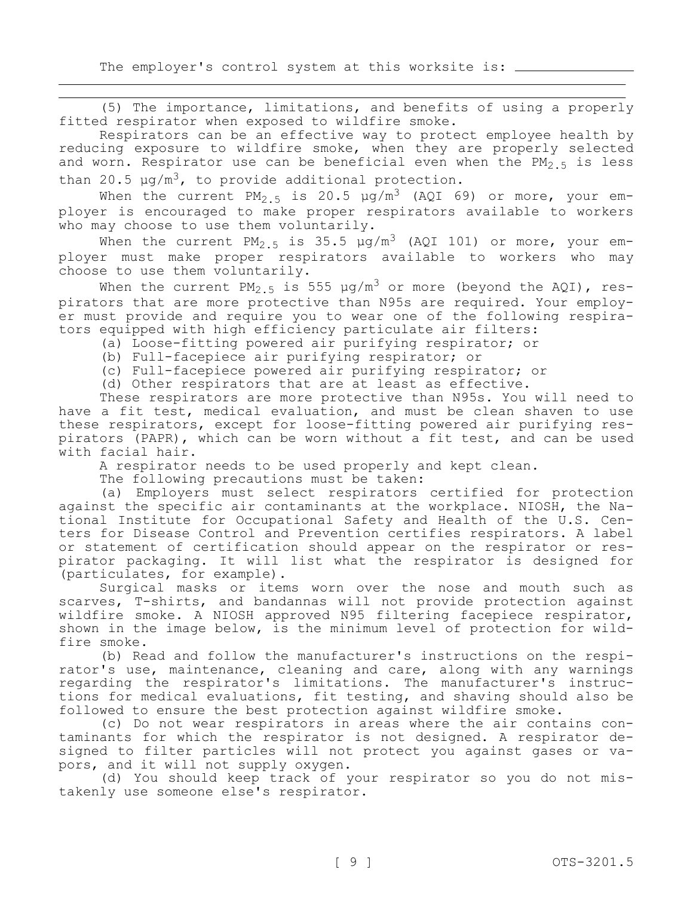(5) The importance, limitations, and benefits of using a properly fitted respirator when exposed to wildfire smoke.

Respirators can be an effective way to protect employee health by reducing exposure to wildfire smoke, when they are properly selected and worn. Respirator use can be beneficial even when the  $PM_{2.5}$  is less than 20.5  $\mu$ g/m<sup>3</sup>, to provide additional protection.

When the current  $PM_{2.5}$  is 20.5  $\mu$ g/m<sup>3</sup> (AQI 69) or more, your employer is encouraged to make proper respirators available to workers who may choose to use them voluntarily.

When the current PM<sub>2.5</sub> is 35.5  $\mu$ g/m<sup>3</sup> (AQI 101) or more, your employer must make proper respirators available to workers who may choose to use them voluntarily.

When the current PM<sub>2.5</sub> is 555 µg/m<sup>3</sup> or more (beyond the AQI), respirators that are more protective than N95s are required. Your employer must provide and require you to wear one of the following respirators equipped with high efficiency particulate air filters:

(a) Loose-fitting powered air purifying respirator; or

- (b) Full-facepiece air purifying respirator; or
- (c) Full-facepiece powered air purifying respirator; or
- (d) Other respirators that are at least as effective.

These respirators are more protective than N95s. You will need to have a fit test, medical evaluation, and must be clean shaven to use these respirators, except for loose-fitting powered air purifying respirators (PAPR), which can be worn without a fit test, and can be used with facial hair.

A respirator needs to be used properly and kept clean.

The following precautions must be taken:

(a) Employers must select respirators certified for protection against the specific air contaminants at the workplace. NIOSH, the National Institute for Occupational Safety and Health of the U.S. Centers for Disease Control and Prevention certifies respirators. A label or statement of certification should appear on the respirator or respirator packaging. It will list what the respirator is designed for (particulates, for example).

Surgical masks or items worn over the nose and mouth such as scarves, T-shirts, and bandannas will not provide protection against wildfire smoke. A NIOSH approved N95 filtering facepiece respirator, shown in the image below, is the minimum level of protection for wildfire smoke.

(b) Read and follow the manufacturer's instructions on the respirator's use, maintenance, cleaning and care, along with any warnings regarding the respirator's limitations. The manufacturer's instructions for medical evaluations, fit testing, and shaving should also be followed to ensure the best protection against wildfire smoke.

(c) Do not wear respirators in areas where the air contains contaminants for which the respirator is not designed. A respirator designed to filter particles will not protect you against gases or vapors, and it will not supply oxygen.

(d) You should keep track of your respirator so you do not mistakenly use someone else's respirator.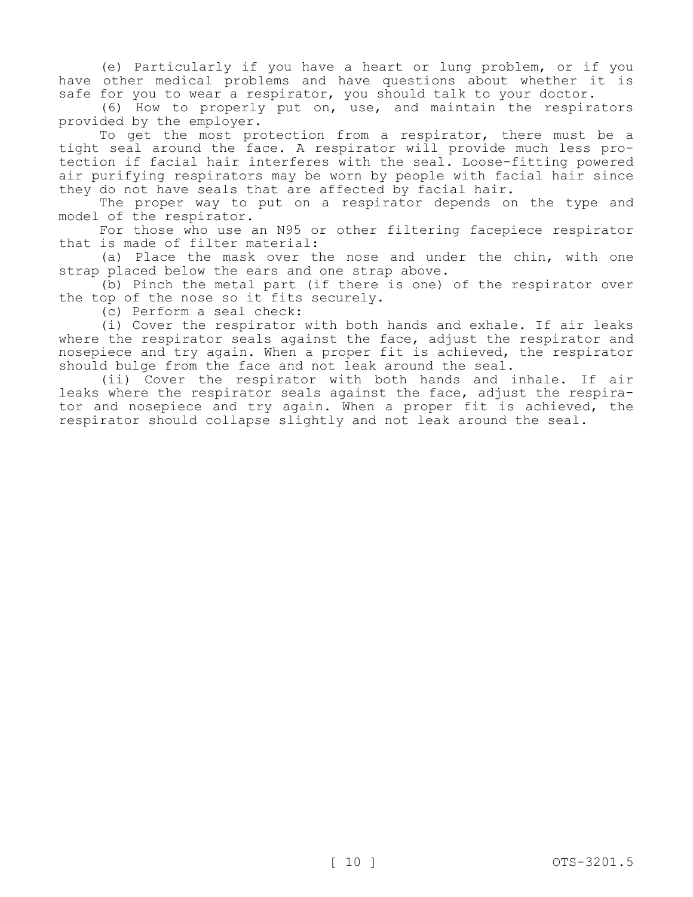(e) Particularly if you have a heart or lung problem, or if you have other medical problems and have questions about whether it is safe for you to wear a respirator, you should talk to your doctor.

(6) How to properly put on, use, and maintain the respirators provided by the employer.

To get the most protection from a respirator, there must be a tight seal around the face. A respirator will provide much less protection if facial hair interferes with the seal. Loose-fitting powered air purifying respirators may be worn by people with facial hair since they do not have seals that are affected by facial hair.

The proper way to put on a respirator depends on the type and model of the respirator.

For those who use an N95 or other filtering facepiece respirator that is made of filter material:

(a) Place the mask over the nose and under the chin, with one strap placed below the ears and one strap above.

(b) Pinch the metal part (if there is one) of the respirator over the top of the nose so it fits securely.

(c) Perform a seal check:

(i) Cover the respirator with both hands and exhale. If air leaks where the respirator seals against the face, adjust the respirator and nosepiece and try again. When a proper fit is achieved, the respirator should bulge from the face and not leak around the seal.

(ii) Cover the respirator with both hands and inhale. If air leaks where the respirator seals against the face, adjust the respirator and nosepiece and try again. When a proper fit is achieved, the respirator should collapse slightly and not leak around the seal.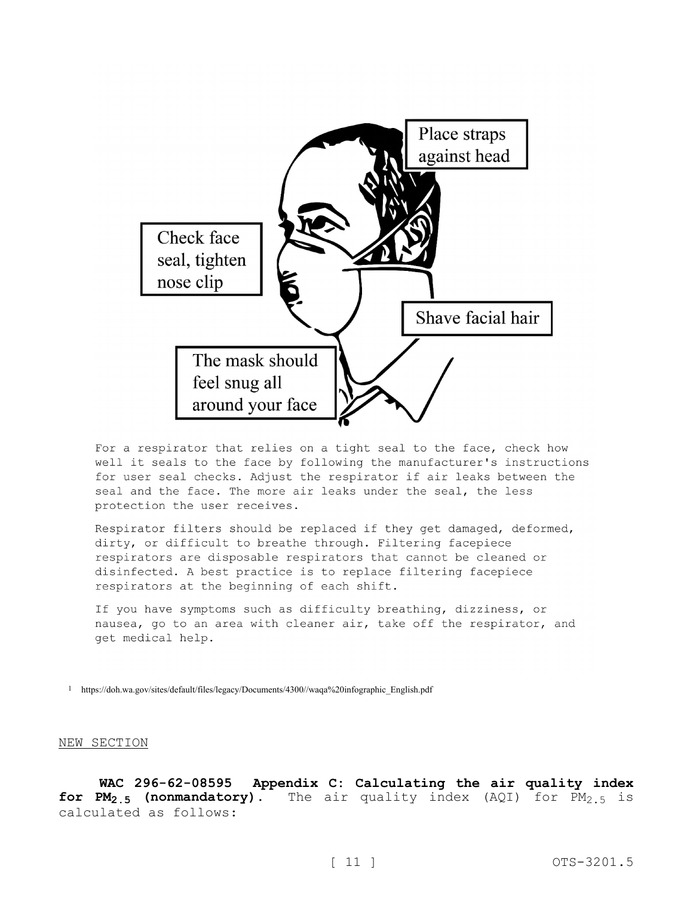

For a respirator that relies on a tight seal to the face, check how well it seals to the face by following the manufacturer's instructions for user seal checks. Adjust the respirator if air leaks between the seal and the face. The more air leaks under the seal, the less protection the user receives.

Respirator filters should be replaced if they get damaged, deformed, dirty, or difficult to breathe through. Filtering facepiece respirators are disposable respirators that cannot be cleaned or disinfected. A best practice is to replace filtering facepiece respirators at the beginning of each shift.

If you have symptoms such as difficulty breathing, dizziness, or nausea, go to an area with cleaner air, take off the respirator, and get medical help.

1 https://doh.wa.gov/sites/default/files/legacy/Documents/4300//waqa%20infographic\_English.pdf

#### NEW SECTION

**WAC 296-62-08595 Appendix C: Calculating the air quality index for PM<sub>2.5</sub>** (nonmandatory). The air quality index (AQI) for PM<sub>2.5</sub> is calculated as follows: